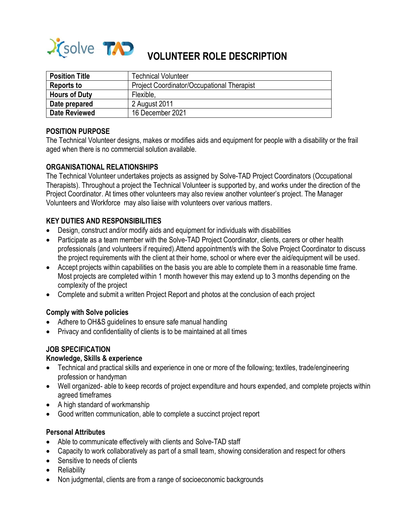

| <b>Position Title</b> | <b>Technical Volunteer</b>                        |
|-----------------------|---------------------------------------------------|
| <b>Reports to</b>     | <b>Project Coordinator/Occupational Therapist</b> |
| <b>Hours of Duty</b>  | Flexible,                                         |
| Date prepared         | 2 August 2011                                     |
| Date Reviewed         | 16 December 2021                                  |

## **POSITION PURPOSE**

The Technical Volunteer designs, makes or modifies aids and equipment for people with a disability or the frail aged when there is no commercial solution available.

## **ORGANISATIONAL RELATIONSHIPS**

The Technical Volunteer undertakes projects as assigned by Solve-TAD Project Coordinators (Occupational Therapists). Throughout a project the Technical Volunteer is supported by, and works under the direction of the Project Coordinator. At times other volunteers may also review another volunteer's project. The Manager Volunteers and Workforce may also liaise with volunteers over various matters.

## **KEY DUTIES AND RESPONSIBILITIES**

- Design, construct and/or modify aids and equipment for individuals with disabilities
- Participate as a team member with the Solve-TAD Project Coordinator, clients, carers or other health professionals (and volunteers if required).Attend appointment/s with the Solve Project Coordinator to discuss the project requirements with the client at their home, school or where ever the aid/equipment will be used.
- Accept projects within capabilities on the basis you are able to complete them in a reasonable time frame. Most projects are completed within 1 month however this may extend up to 3 months depending on the complexity of the project
- Complete and submit a written Project Report and photos at the conclusion of each project

#### **Comply with Solve policies**

- Adhere to OH&S guidelines to ensure safe manual handling
- Privacy and confidentiality of clients is to be maintained at all times

## **JOB SPECIFICATION**

## **Knowledge, Skills & experience**

- Technical and practical skills and experience in one or more of the following; textiles, trade/engineering profession or handyman
- Well organized- able to keep records of project expenditure and hours expended, and complete projects within agreed timeframes
- A high standard of workmanship
- Good written communication, able to complete a succinct project report

#### **Personal Attributes**

- Able to communicate effectively with clients and Solve-TAD staff
- Capacity to work collaboratively as part of a small team, showing consideration and respect for others
- Sensitive to needs of clients
- Reliability
- Non judgmental, clients are from a range of socioeconomic backgrounds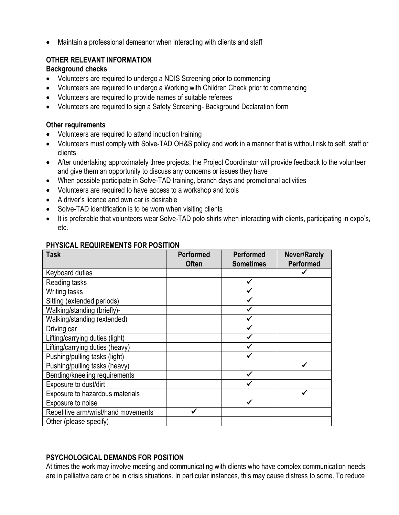Maintain a professional demeanor when interacting with clients and staff

# **OTHER RELEVANT INFORMATION**

## **Background checks**

- Volunteers are required to undergo a NDIS Screening prior to commencing
- Volunteers are required to undergo a Working with Children Check prior to commencing
- Volunteers are required to provide names of suitable referees
- Volunteers are required to sign a Safety Screening- Background Declaration form

## **Other requirements**

- Volunteers are required to attend induction training
- Volunteers must comply with Solve-TAD OH&S policy and work in a manner that is without risk to self, staff or clients
- After undertaking approximately three projects, the Project Coordinator will provide feedback to the volunteer and give them an opportunity to discuss any concerns or issues they have
- When possible participate in Solve-TAD training, branch days and promotional activities
- Volunteers are required to have access to a workshop and tools
- A driver's licence and own car is desirable
- Solve-TAD identification is to be worn when visiting clients
- It is preferable that volunteers wear Solve-TAD polo shirts when interacting with clients, participating in expo's, etc.

| <b>Task</b>                         | <b>Performed</b><br><b>Often</b> | <b>Performed</b><br><b>Sometimes</b> | <b>Never/Rarely</b><br><b>Performed</b> |
|-------------------------------------|----------------------------------|--------------------------------------|-----------------------------------------|
| Keyboard duties                     |                                  |                                      |                                         |
| Reading tasks                       |                                  |                                      |                                         |
| Writing tasks                       |                                  |                                      |                                         |
| Sitting (extended periods)          |                                  |                                      |                                         |
| Walking/standing (briefly)-         |                                  |                                      |                                         |
| Walking/standing (extended)         |                                  |                                      |                                         |
| Driving car                         |                                  |                                      |                                         |
| Lifting/carrying duties (light)     |                                  |                                      |                                         |
| Lifting/carrying duties (heavy)     |                                  |                                      |                                         |
| Pushing/pulling tasks (light)       |                                  |                                      |                                         |
| Pushing/pulling tasks (heavy)       |                                  |                                      |                                         |
| Bending/kneeling requirements       |                                  |                                      |                                         |
| Exposure to dust/dirt               |                                  |                                      |                                         |
| Exposure to hazardous materials     |                                  |                                      |                                         |
| Exposure to noise                   |                                  |                                      |                                         |
| Repetitive arm/wrist/hand movements |                                  |                                      |                                         |
| Other (please specify)              |                                  |                                      |                                         |

# **PHYSICAL REQUIREMENTS FOR POSITION**

# **PSYCHOLOGICAL DEMANDS FOR POSITION**

At times the work may involve meeting and communicating with clients who have complex communication needs, are in palliative care or be in crisis situations. In particular instances, this may cause distress to some. To reduce